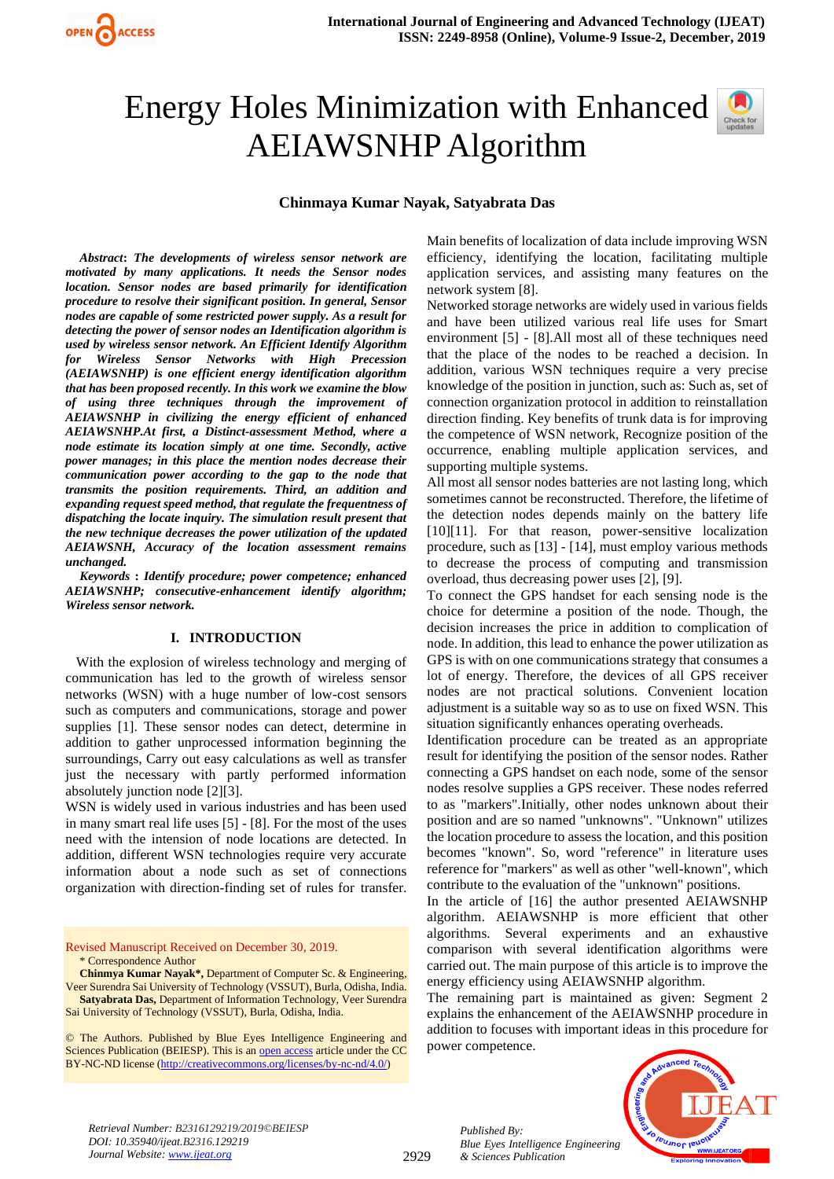# Energy Holes Minimization with Enhanced AEIAWSNHP Algorithm

# **Chinmaya Kumar Nayak, Satyabrata Das**

*Abstract***:** *The developments of wireless sensor network are motivated by many applications. It needs the Sensor nodes location. Sensor nodes are based primarily for identification procedure to resolve their significant position. In general, Sensor nodes are capable of some restricted power supply. As a result for detecting the power of sensor nodes an Identification algorithm is used by wireless sensor network. An Efficient Identify Algorithm for Wireless Sensor Networks with High Precession (AEIAWSNHP) is one efficient energy identification algorithm that has been proposed recently. In this work we examine the blow of using three techniques through the improvement of AEIAWSNHP in civilizing the energy efficient of enhanced AEIAWSNHP.At first, a Distinct-assessment Method, where a node estimate its location simply at one time. Secondly, active power manages; in this place the mention nodes decrease their communication power according to the gap to the node that transmits the position requirements. Third, an addition and expanding request speed method, that regulate the frequentness of dispatching the locate inquiry. The simulation result present that the new technique decreases the power utilization of the updated AEIAWSNH, Accuracy of the location assessment remains unchanged.*

*Keywords* **:** *Identify procedure; power competence; enhanced AEIAWSNHP; consecutive-enhancement identify algorithm; Wireless sensor network.*

## **I. INTRODUCTION**

 With the explosion of wireless technology and merging of communication has led to the growth of wireless sensor networks (WSN) with a huge number of low-cost sensors such as computers and communications, storage and power supplies [1]. These sensor nodes can detect, determine in addition to gather unprocessed information beginning the surroundings, Carry out easy calculations as well as transfer just the necessary with partly performed information absolutely junction node [2][3].

WSN is widely used in various industries and has been used in many smart real life uses [5] - [8]. For the most of the uses need with the intension of node locations are detected. In addition, different WSN technologies require very accurate information about a node such as set of connections organization with direction-finding set of rules for transfer.

Revised Manuscript Received on December 30, 2019. \* Correspondence Author

**Chinmya Kumar Nayak\*,** Department of Computer Sc. & Engineering, Veer Surendra Sai University of Technology (VSSUT), Burla, Odisha, India. **Satyabrata Das,** Department of Information Technology, Veer Surendra Sai University of Technology (VSSUT), Burla, Odisha, India.

© The Authors. Published by Blue Eyes Intelligence Engineering and Sciences Publication (BEIESP). This is a[n open access](https://www.openaccess.nl/en/open-publications) article under the CC BY-NC-ND license [\(http://creativecommons.org/licenses/by-nc-nd/4.0/\)](http://creativecommons.org/licenses/by-nc-nd/4.0/)

Main benefits of localization of data include improving WSN efficiency, identifying the location, facilitating multiple application services, and assisting many features on the network system [8].

Networked storage networks are widely used in various fields and have been utilized various real life uses for Smart environment [5] - [8].All most all of these techniques need that the place of the nodes to be reached a decision. In addition, various WSN techniques require a very precise knowledge of the position in junction, such as: Such as, set of connection organization protocol in addition to reinstallation direction finding. Key benefits of trunk data is for improving the competence of WSN network, Recognize position of the occurrence, enabling multiple application services, and supporting multiple systems.

All most all sensor nodes batteries are not lasting long, which sometimes cannot be reconstructed. Therefore, the lifetime of the detection nodes depends mainly on the battery life [10][11]. For that reason, power-sensitive localization procedure, such as [13] - [14], must employ various methods to decrease the process of computing and transmission overload, thus decreasing power uses [2], [9].

To connect the GPS handset for each sensing node is the choice for determine a position of the node. Though, the decision increases the price in addition to complication of node. In addition, this lead to enhance the power utilization as GPS is with on one communications strategy that consumes a lot of energy. Therefore, the devices of all GPS receiver nodes are not practical solutions. Convenient location adjustment is a suitable way so as to use on fixed WSN. This situation significantly enhances operating overheads.

Identification procedure can be treated as an appropriate result for identifying the position of the sensor nodes. Rather connecting a GPS handset on each node, some of the sensor nodes resolve supplies a GPS receiver. These nodes referred to as "markers".Initially, other nodes unknown about their position and are so named "unknowns". "Unknown" utilizes the location procedure to assess the location, and this position becomes "known". So, word "reference" in literature uses reference for "markers" as well as other "well-known", which contribute to the evaluation of the "unknown" positions.

In the article of [16] the author presented AEIAWSNHP algorithm. AEIAWSNHP is more efficient that other algorithms. Several experiments and an exhaustive comparison with several identification algorithms were carried out. The main purpose of this article is to improve the energy efficiency using AEIAWSNHP algorithm.

The remaining part is maintained as given: Segment 2 explains the enhancement of the AEIAWSNHP procedure in addition to focuses with important ideas in this procedure for power competence.



*Retrieval Number: B2316129219/2019©BEIESP DOI: 10.35940/ijeat.B2316.129219 Journal Website[: www.ijeat.org](http://www.ijeat.org/)*

2929

*Published By: Blue Eyes Intelligence Engineering & Sciences Publication*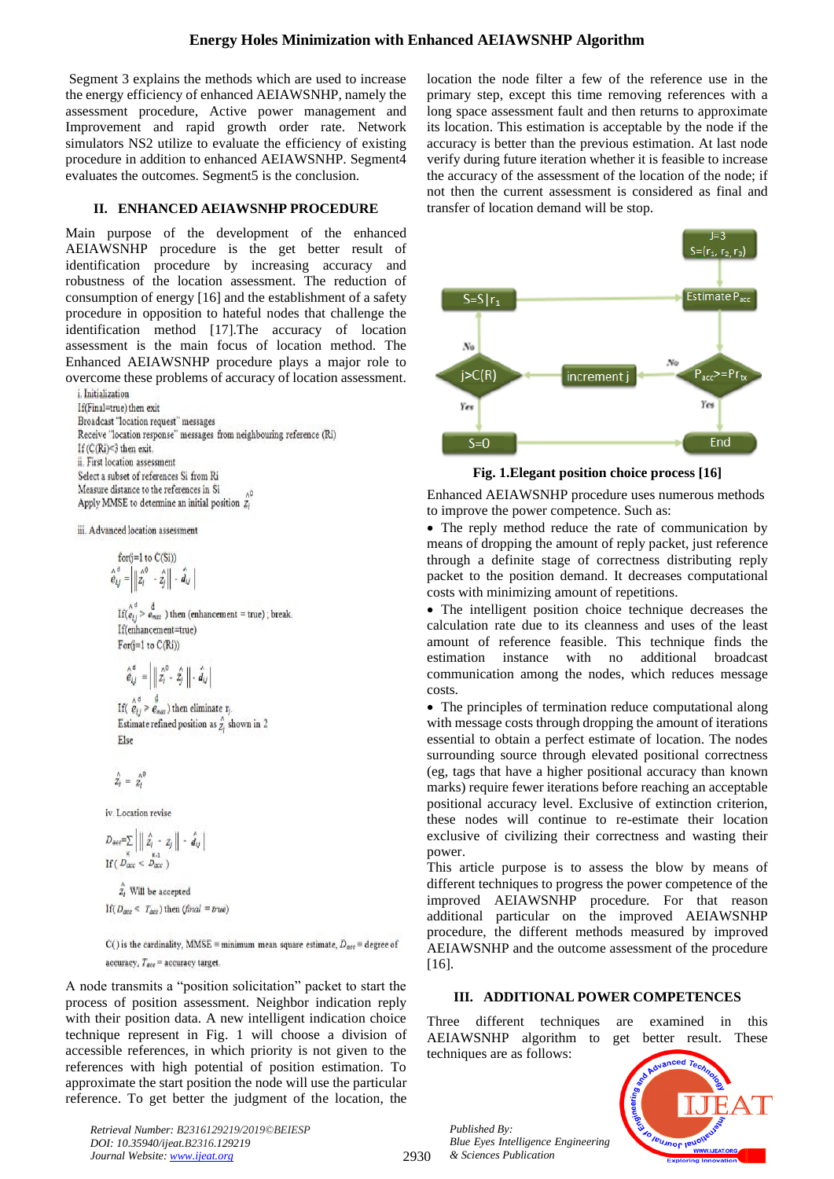## **Energy Holes Minimization with Enhanced AEIAWSNHP Algorithm**

Segment 3 explains the methods which are used to increase the energy efficiency of enhanced AEIAWSNHP, namely the assessment procedure, Active power management and Improvement and rapid growth order rate. Network simulators NS2 utilize to evaluate the efficiency of existing procedure in addition to enhanced AEIAWSNHP. Segment4 evaluates the outcomes. Segment5 is the conclusion.

## **II. ENHANCED AEIAWSNHP PROCEDURE**

Main purpose of the development of the enhanced AEIAWSNHP procedure is the get better result of identification procedure by increasing accuracy and robustness of the location assessment. The reduction of consumption of energy [16] and the establishment of a safety procedure in opposition to hateful nodes that challenge the identification method [17].The accuracy of location assessment is the main focus of location method. The Enhanced AEIAWSNHP procedure plays a major role to overcome these problems of accuracy of location assessment.

i. Initialization If(Final=true) then exit Broadcast "location request" messages Receive "location response" messages from neighbouring reference (Ri) If  $(C(Ri) < 3$  then exit. ii. First location assessment Select a subset of references Si from Ri Measure distance to the references in Si Apply MMSE to determine an initial position 2,

iii. Advanced location assessment

for(j=1 to C(Si))  
\n
$$
\hat{e}_{i,j}^{d} = \left| \begin{array}{cc} \frac{\lambda^0}{2} & -\hat{z}_j \\ \frac{\lambda^0}{2} & -\hat{z}_j \end{array} \right| - \hat{d}_{i,j}
$$

 $\text{If}(\bigwedge_{e_{1j}}^{A} > \bigwedge_{e_{max}}^{d})$  then (enhancement = true); break. If(enhancement=true)  $For(j=1 to C(Ri))$ 

$$
\hat{\hat{e}}_{i,j}^{\, \sigma} \, = \, \left| \, \left\| \, \hat{z_i}^0 \cdot \, \hat{z_j} \, \right\| \cdot \, \hat{d}_{i,j} \, \right|
$$

If( $\hat{e}_{ij} > \hat{e}_{max}$ ) then eliminate  $r_j$ . Estimate refined position as  $\hat{z}_i$  shown in 2 Else

$$
\hat{z}_i = \hat{z}_i^{\wedge i}
$$

iv. Location revise

$$
D_{ave} = \sum_{\kappa} \left| \left\| \hat{z}_i - z_j \right\| - \hat{d}_{i,j} \right|
$$
  
If  $(D_{acc} < D_{acc})$ 

 $\hat{z}_i$  Will be accepted If  $(D_{acc} < T_{acc})$  then  $(final = true)$ 

 $C()$  is the cardinality, MMSE = minimum mean square estimate,  $D_{acc}$  = degree of accuracy,  $T_{\text{acc}} =$  accuracy target.

A node transmits a "position solicitation" packet to start the process of position assessment. Neighbor indication reply with their position data. A new intelligent indication choice technique represent in Fig. 1 will choose a division of accessible references, in which priority is not given to the references with high potential of position estimation. To approximate the start position the node will use the particular reference. To get better the judgment of the location, the

*Retrieval Number: B2316129219/2019©BEIESP DOI: 10.35940/ijeat.B2316.129219 Journal Website[: www.ijeat.org](http://www.ijeat.org/)*

location the node filter a few of the reference use in the primary step, except this time removing references with a long space assessment fault and then returns to approximate its location. This estimation is acceptable by the node if the accuracy is better than the previous estimation. At last node verify during future iteration whether it is feasible to increase the accuracy of the assessment of the location of the node; if not then the current assessment is considered as final and transfer of location demand will be stop.



**Fig. 1.Elegant position choice process [16]**

Enhanced AEIAWSNHP procedure uses numerous methods to improve the power competence. Such as:

• The reply method reduce the rate of communication by means of dropping the amount of reply packet, just reference through a definite stage of correctness distributing reply packet to the position demand. It decreases computational costs with minimizing amount of repetitions.

• The intelligent position choice technique decreases the calculation rate due to its cleanness and uses of the least amount of reference feasible. This technique finds the estimation instance with no additional broadcast communication among the nodes, which reduces message costs.

• The principles of termination reduce computational along with message costs through dropping the amount of iterations essential to obtain a perfect estimate of location. The nodes surrounding source through elevated positional correctness (eg, tags that have a higher positional accuracy than known marks) require fewer iterations before reaching an acceptable positional accuracy level. Exclusive of extinction criterion, these nodes will continue to re-estimate their location exclusive of civilizing their correctness and wasting their power.

This article purpose is to assess the blow by means of different techniques to progress the power competence of the improved AEIAWSNHP procedure. For that reason additional particular on the improved AEIAWSNHP procedure, the different methods measured by improved AEIAWSNHP and the outcome assessment of the procedure [16].

#### **III. ADDITIONAL POWER COMPETENCES**

Three different techniques are examined in this AEIAWSNHP algorithm to get better result. These techniques are as follows:



*Published By: Blue Eyes Intelligence Engineering & Sciences Publication* 

2930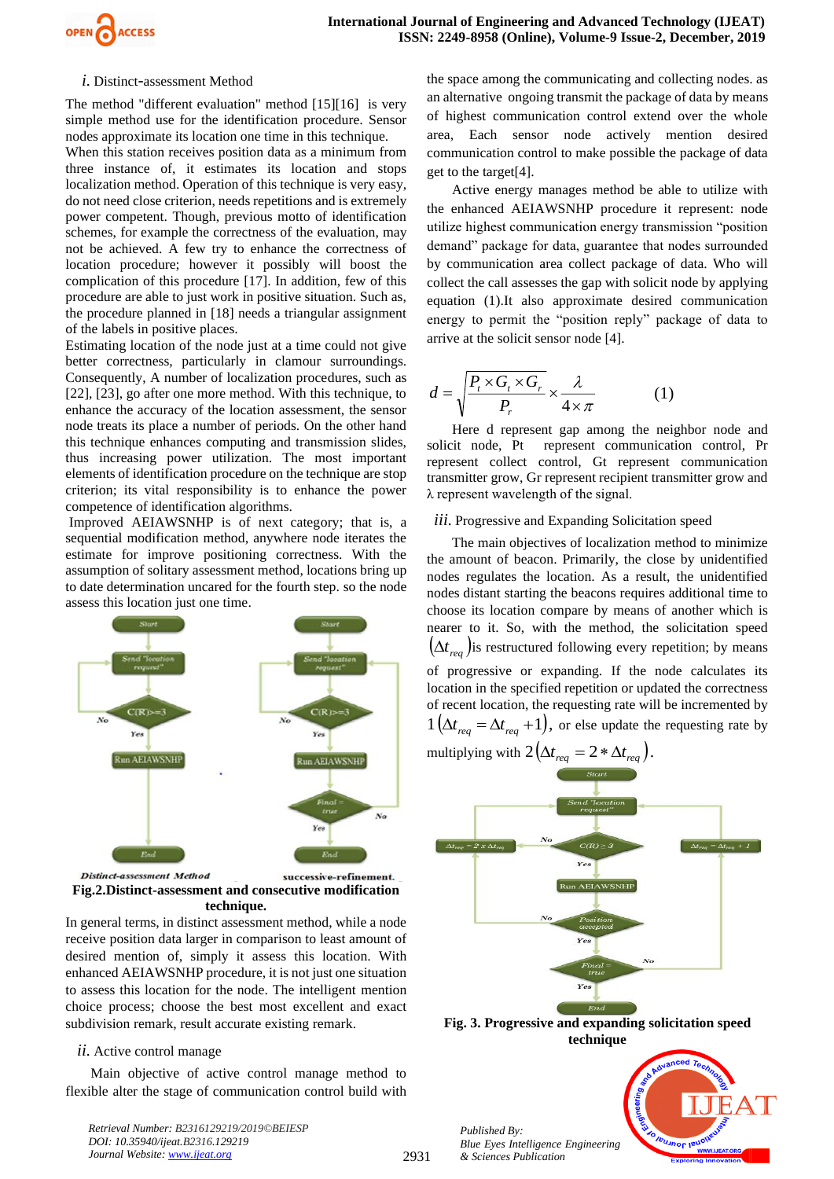

### *i.* Distinct*-*assessment Method

The method "different evaluation" method [15][16] is very simple method use for the identification procedure. Sensor nodes approximate its location one time in this technique.

When this station receives position data as a minimum from three instance of, it estimates its location and stops localization method. Operation of this technique is very easy, do not need close criterion, needs repetitions and is extremely power competent. Though, previous motto of identification schemes, for example the correctness of the evaluation, may not be achieved. A few try to enhance the correctness of location procedure; however it possibly will boost the complication of this procedure [17]. In addition, few of this procedure are able to just work in positive situation. Such as, the procedure planned in [18] needs a triangular assignment of the labels in positive places.

Estimating location of the node just at a time could not give better correctness, particularly in clamour surroundings. Consequently, A number of localization procedures, such as [22], [23], go after one more method. With this technique, to enhance the accuracy of the location assessment, the sensor node treats its place a number of periods. On the other hand this technique enhances computing and transmission slides, thus increasing power utilization. The most important elements of identification procedure on the technique are stop criterion; its vital responsibility is to enhance the power competence of identification algorithms.

Improved AEIAWSNHP is of next category; that is, a sequential modification method, anywhere node iterates the estimate for improve positioning correctness. With the assumption of solitary assessment method, locations bring up to date determination uncared for the fourth step. so the node assess this location just one time.



**Fig.2.Distinct-assessment and consecutive modification technique.**

In general terms, in distinct assessment method, while a node receive position data larger in comparison to least amount of desired mention of, simply it assess this location. With enhanced AEIAWSNHP procedure, it is not just one situation to assess this location for the node. The intelligent mention choice process; choose the best most excellent and exact subdivision remark, result accurate existing remark.

## *ii.* Active control manage

Main objective of active control manage method to flexible alter the stage of communication control build with

*Retrieval Number: B2316129219/2019©BEIESP DOI: 10.35940/ijeat.B2316.129219 Journal Website[: www.ijeat.org](http://www.ijeat.org/)*

the space among the communicating and collecting nodes. as an alternative ongoing transmit the package of data by means of highest communication control extend over the whole area, Each sensor node actively mention desired communication control to make possible the package of data get to the target[4].

Active energy manages method be able to utilize with the enhanced AEIAWSNHP procedure it represent: node utilize highest communication energy transmission "position demand" package for data, guarantee that nodes surrounded by communication area collect package of data. Who will collect the call assesses the gap with solicit node by applying equation (1).It also approximate desired communication energy to permit the "position reply" package of data to arrive at the solicit sensor node [4].

$$
d = \sqrt{\frac{P_t \times G_t \times G_r}{P_r}} \times \frac{\lambda}{4 \times \pi}
$$
 (1)

Here d represent gap among the neighbor node and solicit node, Pt represent communication control, Pr represent collect control, Gt represent communication transmitter grow, Gr represent recipient transmitter grow and λ represent wavelength of the signal.

## *iii.* Progressive and Expanding Solicitation speed

The main objectives of localization method to minimize the amount of beacon. Primarily, the close by unidentified nodes regulates the location. As a result, the unidentified nodes distant starting the beacons requires additional time to choose its location compare by means of another which is nearer to it. So, with the method, the solicitation speed  $(\Delta t_{req})$  is restructured following every repetition; by means of progressive or expanding. If the node calculates its location in the specified repetition or updated the correctness of recent location, the requesting rate will be incremented by  $1\left(\Delta t_{req} = \Delta t_{req} + 1\right)$ , or else update the requesting rate by multiplying with  $2(\Delta t_{req} = 2 * \Delta t_{req}).$ 



**Fig. 3. Progressive and expanding solicitation speed technique**

*Published By: Blue Eyes Intelligence Engineering & Sciences Publication* 

2931

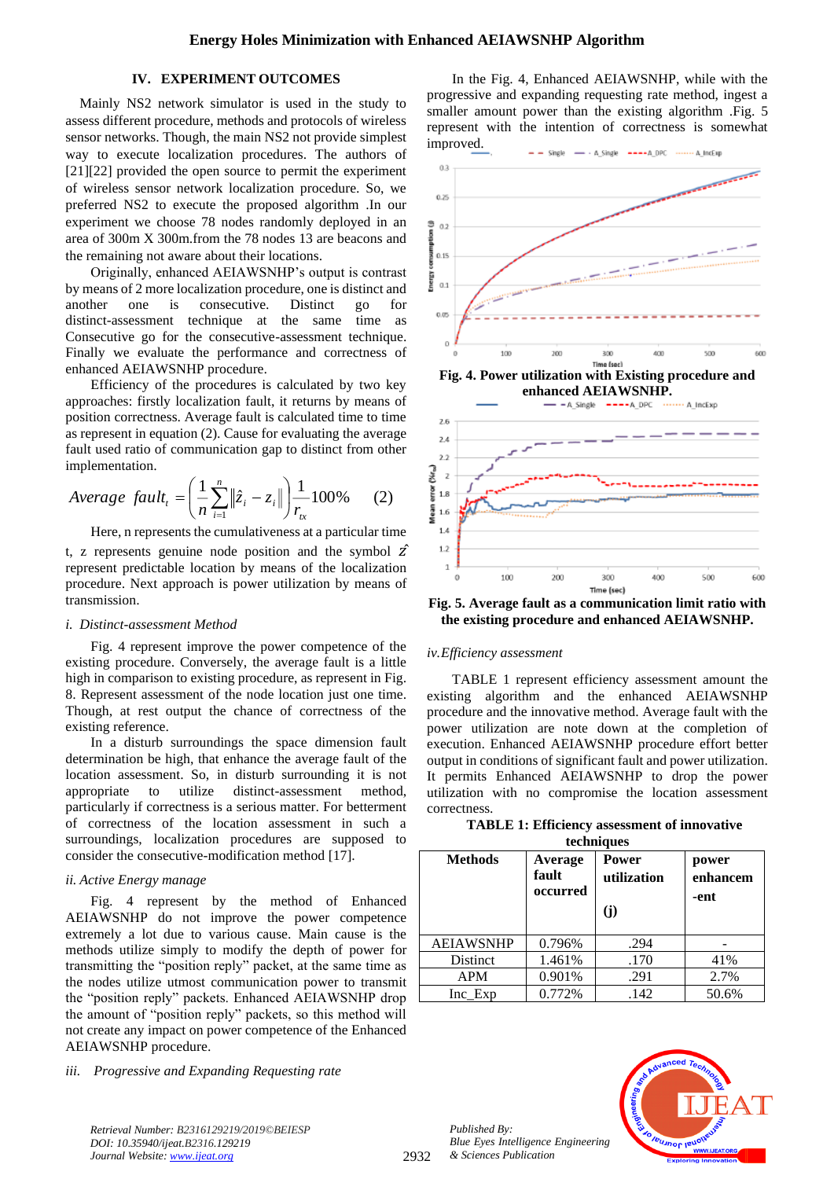## **IV. EXPERIMENT OUTCOMES**

Mainly NS2 network simulator is used in the study to assess different procedure, methods and protocols of wireless sensor networks. Though, the main NS2 not provide simplest way to execute localization procedures. The authors of [21][22] provided the open source to permit the experiment of wireless sensor network localization procedure. So, we preferred NS2 to execute the proposed algorithm .In our experiment we choose 78 nodes randomly deployed in an area of 300m X 300m.from the 78 nodes 13 are beacons and the remaining not aware about their locations.

Originally, enhanced AEIAWSNHP's output is contrast by means of 2 more localization procedure, one is distinct and another one is consecutive. Distinct go distinct-assessment technique at the same time as Consecutive go for the consecutive-assessment technique. Finally we evaluate the performance and correctness of enhanced AEIAWSNHP procedure.

Efficiency of the procedures is calculated by two key approaches: firstly localization fault, it returns by means of position correctness. Average fault is calculated time to time as represent in equation (2). Cause for evaluating the average fault used ratio of communication gap to distinct from other implementation.

Average fault<sub>t</sub> = 
$$
\left(\frac{1}{n}\sum_{i=1}^{n} ||\hat{z}_i - z_i||\right) \frac{1}{r_{tx}} 100\%
$$
 (2)

Here, n represents the cumulativeness at a particular time t, z represents genuine node position and the symbol  $\hat{z}$ represent predictable location by means of the localization procedure. Next approach is power utilization by means of transmission.

#### *i. Distinct-assessment Method*

Fig. 4 represent improve the power competence of the existing procedure. Conversely, the average fault is a little high in comparison to existing procedure, as represent in Fig. 8. Represent assessment of the node location just one time. Though, at rest output the chance of correctness of the existing reference.

In a disturb surroundings the space dimension fault determination be high, that enhance the average fault of the location assessment. So, in disturb surrounding it is not appropriate to utilize distinct-assessment method, particularly if correctness is a serious matter. For betterment of correctness of the location assessment in such a surroundings, localization procedures are supposed to consider the consecutive-modification method [17].

## *ii. Active Energy manage*

Fig. 4 represent by the method of Enhanced AEIAWSNHP do not improve the power competence extremely a lot due to various cause. Main cause is the methods utilize simply to modify the depth of power for transmitting the "position reply" packet, at the same time as the nodes utilize utmost communication power to transmit the "position reply" packets. Enhanced AEIAWSNHP drop the amount of "position reply" packets, so this method will not create any impact on power competence of the Enhanced AEIAWSNHP procedure.

*iii. Progressive and Expanding Requesting rate* 

In the Fig. 4, Enhanced AEIAWSNHP, while with the progressive and expanding requesting rate method, ingest a smaller amount power than the existing algorithm .Fig. 5 represent with the intention of correctness is somewhat improved.



**Fig. 5. Average fault as a communication limit ratio with the existing procedure and enhanced AEIAWSNHP.**

#### *iv.Efficiency assessment*

TABLE 1 represent efficiency assessment amount the existing algorithm and the enhanced AEIAWSNHP procedure and the innovative method. Average fault with the power utilization are note down at the completion of execution. Enhanced AEIAWSNHP procedure effort better output in conditions of significant fault and power utilization. It permits Enhanced AEIAWSNHP to drop the power utilization with no compromise the location assessment correctness.

| <b>TABLE 1: Efficiency assessment of innovative</b> |
|-----------------------------------------------------|
| techniques                                          |

| <b>Methods</b>   | Average<br>fault<br>occurred | Power<br>utilization<br>(i) | power<br>enhancem<br>-ent |  |
|------------------|------------------------------|-----------------------------|---------------------------|--|
| <b>AEIAWSNHP</b> | 0.796%                       | .294                        |                           |  |
| <b>Distinct</b>  | 1.461%                       | .170                        | 41%                       |  |
| <b>APM</b>       | 0.901%                       | .291                        | 2.7%                      |  |
| $Inc$ $Exp$      | 0.772%                       | .142                        | 50.6%                     |  |



*Retrieval Number: B2316129219/2019©BEIESP DOI: 10.35940/ijeat.B2316.129219 Journal Website[: www.ijeat.org](http://www.ijeat.org/)*

*Published By:*

*& Sciences Publication* 

*Blue Eyes Intelligence Engineering*